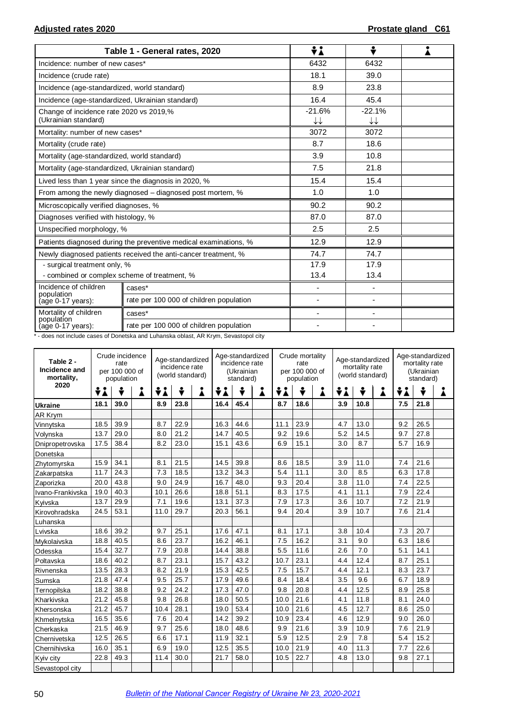|                                                                 | Table 1 - General rates, 2020                                    | ÷i                                 | ÷                                  |  |  |
|-----------------------------------------------------------------|------------------------------------------------------------------|------------------------------------|------------------------------------|--|--|
| Incidence: number of new cases*                                 |                                                                  | 6432                               | 6432                               |  |  |
| Incidence (crude rate)                                          |                                                                  | 18.1                               | 39.0                               |  |  |
| Incidence (age-standardized, world standard)                    |                                                                  | 8.9                                | 23.8                               |  |  |
| Incidence (age-standardized, Ukrainian standard)                |                                                                  | 16.4                               | 45.4                               |  |  |
| Change of incidence rate 2020 vs 2019,%<br>(Ukrainian standard) |                                                                  | $-21.6%$<br>$\downarrow\downarrow$ | $-22.1%$<br>$\downarrow\downarrow$ |  |  |
| Mortality: number of new cases*                                 |                                                                  | 3072                               | 3072                               |  |  |
| Mortality (crude rate)                                          |                                                                  | 8.7                                | 18.6                               |  |  |
| Mortality (age-standardized, world standard)                    |                                                                  | 3.9                                | 10.8                               |  |  |
| Mortality (age-standardized, Ukrainian standard)                |                                                                  | 7.5                                | 21.8                               |  |  |
|                                                                 | Lived less than 1 year since the diagnosis in 2020, %            | 15.4                               | 15.4                               |  |  |
|                                                                 | From among the newly diagnosed – diagnosed post mortem, %        | 1.0                                | 1.0                                |  |  |
| Microscopically verified diagnoses, %                           |                                                                  | 90.2                               | 90.2                               |  |  |
| Diagnoses verified with histology, %                            |                                                                  | 87.0                               | 87.0                               |  |  |
| Unspecified morphology, %                                       |                                                                  | 2.5                                | 2.5                                |  |  |
|                                                                 | Patients diagnosed during the preventive medical examinations, % | 12.9                               | 12.9                               |  |  |
|                                                                 | Newly diagnosed patients received the anti-cancer treatment, %   | 74.7                               | 74.7                               |  |  |
| - surgical treatment only, %                                    |                                                                  | 17.9                               | 17.9                               |  |  |
| - combined or complex scheme of treatment, %                    |                                                                  | 13.4                               | 13.4                               |  |  |
| Incidence of children<br>population                             | cases*                                                           | $\overline{\phantom{a}}$           | $\overline{\phantom{a}}$           |  |  |
| (age 0-17 years):                                               | rate per 100 000 of children population                          | $\overline{\phantom{a}}$           |                                    |  |  |
| Mortality of children                                           | cases*                                                           |                                    | $\blacksquare$                     |  |  |
| population<br>(age 0-17 years):                                 | rate per 100 000 of children population                          |                                    |                                    |  |  |

\* - does not include cases of Donetska and Luhanska oblast, AR Krym, Sevastopol city

| Table 2 -<br>Incidence and<br>mortality, | Crude incidence<br>Age-standardized<br>rate<br>incidence rate<br>per 100 000 of<br>(world standard)<br>population |      |   |      |      | Age-standardized<br>incidence rate<br>(Ukrainian<br>standard) |      |      | Crude mortality<br>rate<br>per 100 000 of<br>population |      |      | Age-standardized<br>mortality rate<br>(world standard) |     |      | Age-standardized<br>mortality rate<br>(Ukrainian<br>standard) |     |        |   |
|------------------------------------------|-------------------------------------------------------------------------------------------------------------------|------|---|------|------|---------------------------------------------------------------|------|------|---------------------------------------------------------|------|------|--------------------------------------------------------|-----|------|---------------------------------------------------------------|-----|--------|---|
| 2020                                     | ÷i                                                                                                                | ÷    | Å | ÷i   | ÷    | Å                                                             | ÷i   | ÷    | Å                                                       | ÷i   | ٠    | Å                                                      | ÷i  | ÷    | Å                                                             | ÷i  | ٠<br>v | Å |
| <b>Ukraine</b>                           | 18.1                                                                                                              | 39.0 |   | 8.9  | 23.8 |                                                               | 16.4 | 45.4 |                                                         | 8.7  | 18.6 |                                                        | 3.9 | 10.8 |                                                               | 7.5 | 21.8   |   |
| <b>AR Krym</b>                           |                                                                                                                   |      |   |      |      |                                                               |      |      |                                                         |      |      |                                                        |     |      |                                                               |     |        |   |
| Vinnytska                                | 18.5                                                                                                              | 39.9 |   | 8.7  | 22.9 |                                                               | 16.3 | 44.6 |                                                         | 11.1 | 23.9 |                                                        | 4.7 | 13.0 |                                                               | 9.2 | 26.5   |   |
| Volynska                                 | 13.7                                                                                                              | 29.0 |   | 8.0  | 21.2 |                                                               | 14.7 | 40.5 |                                                         | 9.2  | 19.6 |                                                        | 5.2 | 14.5 |                                                               | 9.7 | 27.8   |   |
| Dnipropetrovska                          | 17.5                                                                                                              | 38.4 |   | 8.2  | 23.0 |                                                               | 15.1 | 43.6 |                                                         | 6.9  | 15.1 |                                                        | 3.0 | 8.7  |                                                               | 5.7 | 16.9   |   |
| Donetska                                 |                                                                                                                   |      |   |      |      |                                                               |      |      |                                                         |      |      |                                                        |     |      |                                                               |     |        |   |
| Zhytomyrska                              | 15.9                                                                                                              | 34.1 |   | 8.1  | 21.5 |                                                               | 14.5 | 39.8 |                                                         | 8.6  | 18.5 |                                                        | 3.9 | 11.0 |                                                               | 7.4 | 21.6   |   |
| Zakarpatska                              | 11.7                                                                                                              | 24.3 |   | 7.3  | 18.5 |                                                               | 13.2 | 34.3 |                                                         | 5.4  | 11.1 |                                                        | 3.0 | 8.5  |                                                               | 6.3 | 17.8   |   |
| Zaporizka                                | 20.0                                                                                                              | 43.8 |   | 9.0  | 24.9 |                                                               | 16.7 | 48.0 |                                                         | 9.3  | 20.4 |                                                        | 3.8 | 11.0 |                                                               | 7.4 | 22.5   |   |
| Ivano-Frankivska                         | 19.0                                                                                                              | 40.3 |   | 10.1 | 26.6 |                                                               | 18.8 | 51.1 |                                                         | 8.3  | 17.5 |                                                        | 4.1 | 11.1 |                                                               | 7.9 | 22.4   |   |
| Kyivska                                  | 13.7                                                                                                              | 29.9 |   | 7.1  | 19.6 |                                                               | 13.1 | 37.3 |                                                         | 7.9  | 17.3 |                                                        | 3.6 | 10.7 |                                                               | 7.2 | 21.9   |   |
| Kirovohradska                            | 24.5                                                                                                              | 53.1 |   | 11.0 | 29.7 |                                                               | 20.3 | 56.1 |                                                         | 9.4  | 20.4 |                                                        | 3.9 | 10.7 |                                                               | 7.6 | 21.4   |   |
| Luhanska                                 |                                                                                                                   |      |   |      |      |                                                               |      |      |                                                         |      |      |                                                        |     |      |                                                               |     |        |   |
| Lvivska                                  | 18.6                                                                                                              | 39.2 |   | 9.7  | 25.1 |                                                               | 17.6 | 47.1 |                                                         | 8.1  | 17.1 |                                                        | 3.8 | 10.4 |                                                               | 7.3 | 20.7   |   |
| Mykolaivska                              | 18.8                                                                                                              | 40.5 |   | 8.6  | 23.7 |                                                               | 16.2 | 46.1 |                                                         | 7.5  | 16.2 |                                                        | 3.1 | 9.0  |                                                               | 6.3 | 18.6   |   |
| Odesska                                  | 15.4                                                                                                              | 32.7 |   | 7.9  | 20.8 |                                                               | 14.4 | 38.8 |                                                         | 5.5  | 11.6 |                                                        | 2.6 | 7.0  |                                                               | 5.1 | 14.1   |   |
| Poltavska                                | 18.6                                                                                                              | 40.2 |   | 8.7  | 23.1 |                                                               | 15.7 | 43.2 |                                                         | 10.7 | 23.1 |                                                        | 4.4 | 12.4 |                                                               | 8.7 | 25.1   |   |
| Rivnenska                                | 13.5                                                                                                              | 28.3 |   | 8.2  | 21.9 |                                                               | 15.3 | 42.5 |                                                         | 7.5  | 15.7 |                                                        | 4.4 | 12.1 |                                                               | 8.3 | 23.7   |   |
| Sumska                                   | 21.8                                                                                                              | 47.4 |   | 9.5  | 25.7 |                                                               | 17.9 | 49.6 |                                                         | 8.4  | 18.4 |                                                        | 3.5 | 9.6  |                                                               | 6.7 | 18.9   |   |
| Ternopilska                              | 18.2                                                                                                              | 38.8 |   | 9.2  | 24.2 |                                                               | 17.3 | 47.0 |                                                         | 9.8  | 20.8 |                                                        | 4.4 | 12.5 |                                                               | 8.9 | 25.8   |   |
| Kharkivska                               | 21.2                                                                                                              | 45.8 |   | 9.8  | 26.8 |                                                               | 18.0 | 50.5 |                                                         | 10.0 | 21.6 |                                                        | 4.1 | 11.8 |                                                               | 8.1 | 24.0   |   |
| Khersonska                               | 21.2                                                                                                              | 45.7 |   | 10.4 | 28.1 |                                                               | 19.0 | 53.4 |                                                         | 10.0 | 21.6 |                                                        | 4.5 | 12.7 |                                                               | 8.6 | 25.0   |   |
| Khmelnytska                              | 16.5                                                                                                              | 35.6 |   | 7.6  | 20.4 |                                                               | 14.2 | 39.2 |                                                         | 10.9 | 23.4 |                                                        | 4.6 | 12.9 |                                                               | 9.0 | 26.0   |   |
| Cherkaska                                | 21.5                                                                                                              | 46.9 |   | 9.7  | 25.6 |                                                               | 18.0 | 48.6 |                                                         | 9.9  | 21.6 |                                                        | 3.9 | 10.9 |                                                               | 7.6 | 21.9   |   |
| Chernivetska                             | 12.5                                                                                                              | 26.5 |   | 6.6  | 17.1 |                                                               | 11.9 | 32.1 |                                                         | 5.9  | 12.5 |                                                        | 2.9 | 7.8  |                                                               | 5.4 | 15.2   |   |
| Chernihivska                             | 16.0                                                                                                              | 35.1 |   | 6.9  | 19.0 |                                                               | 12.5 | 35.5 |                                                         | 10.0 | 21.9 |                                                        | 4.0 | 11.3 |                                                               | 7.7 | 22.6   |   |
| Kyiv city                                | 22.8                                                                                                              | 49.3 |   | 11.4 | 30.0 |                                                               | 21.7 | 58.0 |                                                         | 10.5 | 22.7 |                                                        | 4.8 | 13.0 |                                                               | 9.8 | 27.1   |   |
| Sevastopol city                          |                                                                                                                   |      |   |      |      |                                                               |      |      |                                                         |      |      |                                                        |     |      |                                                               |     |        |   |